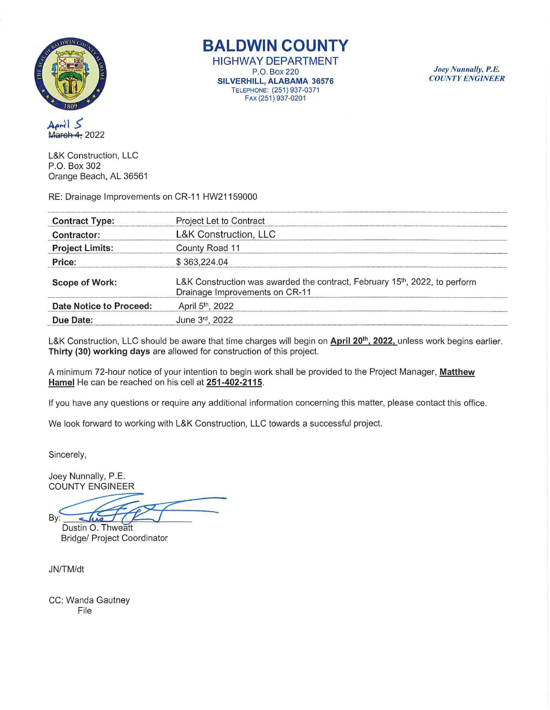

**BALDWIN COUNTY** 

HIGHWAY DEPARTMENT P.O. Box220 SILVERHILL, ALABAMA 36576 TELEPHONE: (251) 937-0371 FAX (251) 937-0201

Joey Nunnally, P.E. *COUNT Y ENGINEER* 

April 5 March 4, 2022

L&K Construction, LLC P.O. Box 302 Orange Beach, AL 36561

RE: Drainage Improvements on CR-11 HW21159000

| <b>Contract Type:</b>   | Project Let to Contract                                                                                                   |  |
|-------------------------|---------------------------------------------------------------------------------------------------------------------------|--|
| Contractor:             | L&K Construction, LLC                                                                                                     |  |
| <b>Project Limits:</b>  | County Road 11                                                                                                            |  |
| Price:                  | \$363,224.04                                                                                                              |  |
| <b>Scope of Work:</b>   | L&K Construction was awarded the contract, February 15 <sup>th</sup> , 2022, to perform<br>Drainage Improvements on CR-11 |  |
| Date Notice to Proceed: | April 5 <sup>th</sup> , 2022                                                                                              |  |
| Due Date:               | June 3rd, 2022                                                                                                            |  |

L&K Construction, LLC should be aware that time charges will begin on April 20<sup>th</sup>, 2022, unless work begins earlier. Thirty (30) working days are allowed for construction of this project.

A minimum 72-hour notice of your intention to begin work shall be provided to the Project Manager, Matthew Hamel He can be reached on his cell at 251-402-2115.

If you have any questions or require any additional information concerning this matter, please contact this office.

We look forward to working with L&K Construction, LLC towards a successful project.

Sincerely,

Joey Nunnally, P.E. **COUNTY ENGINEER** 

B١

Dustin O. Thweatt **Bridge/ Project Coordinator** 

JN!TM/dt

CC: Wanda Gautney File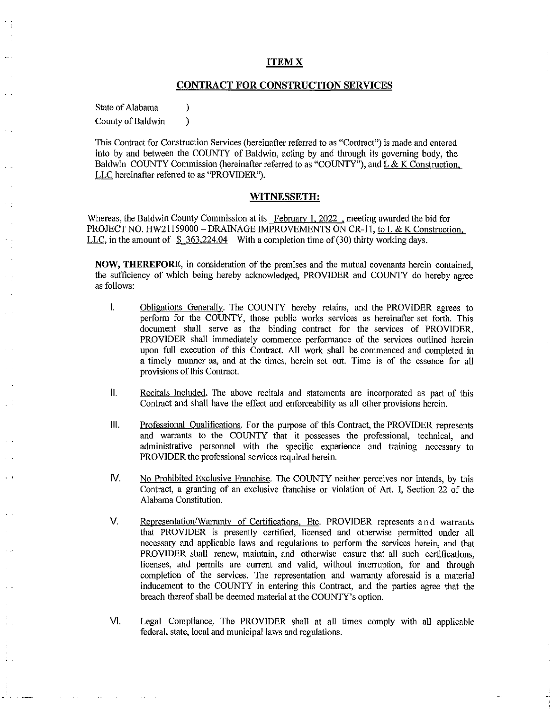### **ITEMX**

# **CONTRACT FOR CONSTRUCTION SERVICES**

State of Alabama (b)

County of Baldwin (1)

This Contract for Construction Services (hereinafter referred to as "Contract") is made and entered into by and between the COUNTY of Baldwin, acting by and through its governing body, the Baldwin COUNTY Commission (hereinafter referred to as "COUNTY"), and  $L & K$  Construction. LLC hereinafter referred to as "PROVIDER").

#### **WITNESSETH:**

Whereas, the Baldwin County Commission at its February 1, 2022, meeting awarded the bid for PROJECT NO. HW21159000 - DRAINAGE IMPROVEMENTS ON CR-11, to L & K Construction. LLC, in the amount of  $$363,224.04$  With a completion time of (30) thirty working days.

**NOW, THEREFORE,** in consideration of the premises and the mutual covenants herein contained, the sufficiency of which being hereby acknowledged, PROVIDER and COUNTY do hereby agree as follows:

- I. Obligations Generally. The COUNTY hereby retains, and the PROVIDER agrees to perform for the COUNTY, those public works services as hereinafter set forth. This document shall serve as the binding contract for the services of PROVIDER. PROVIDER shall immediately commence performance of the services outlined herein upon full execution of this Contract. All work shall be commenced and completed in a timely manner as, and at the times, herein set out. Time is of the essence for all provisions of this Contract.
- **11.** Recitals Included. The above recitals and statements are incorporated as part of this Contract and shall have the effect and enforceability as all other provisions herein.
- **Ill.** Professional Qualifications. For the purpose of this Contract, the PROVIDER represents and warrants to the COUNTY that it possesses the professional, technical, and administrative personnel with the specific experience and training necessary to PROVIDER the professional services required herein.
- IV. No Prohibited Exclusive Franchise. The COUNTY neither perceives nor intends, by this Contract, a granting of an exclusive franchise or violation of Art. I, Section 22 of the Alabama Constitution.
- V. Representation/Warranty of Certifications, Etc. PROVIDER represents and warrants that PROVIDER is presently certified, licensed and otherwise permitted under all necessary and applicable laws and regulations to perform the services herein, and that PROVIDER shall renew, maintain, and otherwise ensure that all such certifications, licenses, and permits are current and valid, without interruption, for and through completion of the services. The representation and warranty aforesaid is a material inducement to the COUNTY in entering this Contract, and the parties agree that the breach thereof shall be deemed material at the COUNTY's option.

VI. Legal Compliance. The PROVIDER shall at all times comply with all applicable federal, state, local and municipal laws and regulations.

**Carl Common** 

and a strong control of

**College** 

and the state of the state of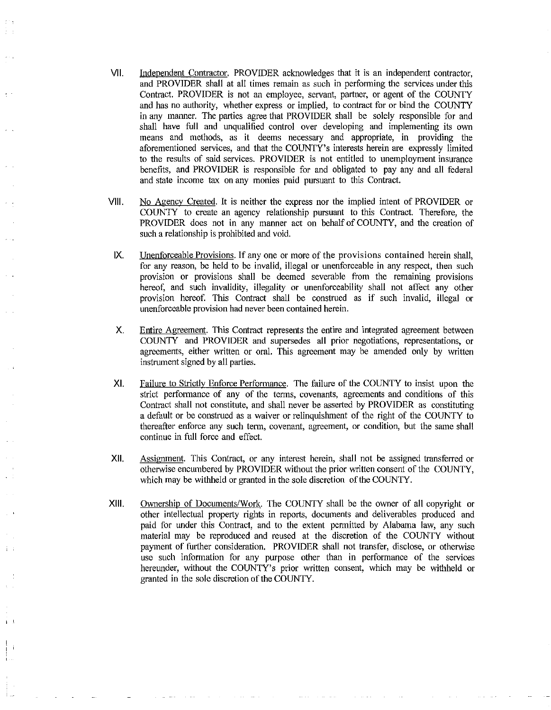- VII. Independent Contractor. PROVIDER acknowledges that it is an independent contractor, and PROVIDER shall at all times remain as such in performing the services under this Contract. PROVIDER is not an employee, servant, partner, or agent of the COUNTY and has no authority, whether express or implied, to contract for or bind the COUNTY in any manner. The parties agree that PROVIDER shall be solely responsible for and shall have full and unqualified control over developing and implementing its own means and methods, as it deems necessary and appropriate, in providing the aforementioned services, and that the COUNTY's interests herein are expressly limited to the results of said services. PROVIDER is not entitled to unemployment insurance benefits, and PROVIDER is responsible for and obligated to pay any and all federal and state income tax on any monies paid pursuant to this Contract.
- VIII. No Agency Created. It is neither the express nor the implied intent of PROVIDER or COUNTY to create an agency relationship pursuant to this Contract. Therefore, the PROVIDER does not in any manner act on behalf of COUNTY, and the creation of such a relationship is prohibited and void.
	- IX. Unenforceable Provisions. If any one or more of the provisions contained herein shall, for any reason, be held to be invalid, illegal or unenforceable in any respect, then such provision or provisions shall be deemed severable from the remaining provisions hereof, and such invalidity, illegality or unenforceability shall not affect any other provision hereof. This Contract shall be construed as if such invalid, illegal or unenforceable provision had never been contained herein.
	- X. Entire Agreement. This Contract represents the entire and integrated agreement between COUNTY and PROVIDER and supersedes all prior negotiations, representations, or agreements, either written or oral. This agreement may be amended only by written instrument signed by all parties.
	- XI. Failure to Strictly Enforce Performance. The failure of the COUNTY to insist upon the strict performance of any of the terms, covenants, agreements and conditions of this Contract shall not constitute, and shall never be asserted by PROVIDER as constituting a default or be construed as a waiver or relinquishment of the right of the COUNTY to thereafter enforce any such term, covenant, agreement, or condition, but the same shall continue in full force and effect.
- XII. Assignment. This Contract, or any interest herein, shall not be assigned transferred or otherwise encumbered by PROVIDER without the prior written consent of the COUNTY, which may be withheld or granted in the sole discretion of the COUNTY.
- XIII. Ownership of Documents/Work. The COUNTY shall be the owner of all copyright or other intellectual property rights in reports, documents and deliverables produced and paid for under this Contract, and to the extent permitted by Alabama law, any such material may be reproduced and reused at the discretion of the COUNTY without payment of further consideration. PROVIDER shall not transfer, disclose, or otherwise use such information for any purpose other than in performance of the services hereunder, without the COUNTY's prior written consent, which may be withheld or granted in the sole discretion of the COUNTY.

 $\mathbf{r}$ 

 $\mathbf{i}$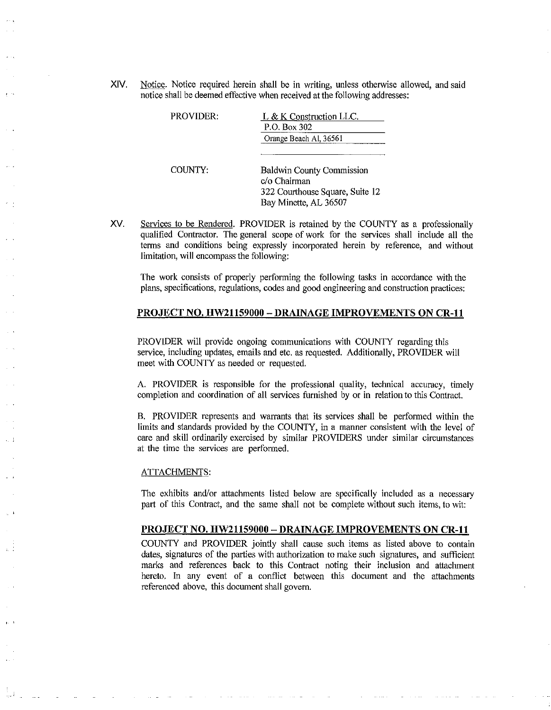XIV. Notice. Notice required herein shall be in writing, unless otherwise allowed, and said notice shall be deemed effective when received at the following addresses:

| PROVIDER: | L & K Construction LLC.<br>P.O. Box 302                                                                      |
|-----------|--------------------------------------------------------------------------------------------------------------|
|           | Orange Beach Al, 36561                                                                                       |
| COUNTY:   | <b>Baldwin County Commission</b><br>c/o Chairman<br>322 Courthouse Square, Suite 12<br>Bay Minette, AL 36507 |

XV. Services to be Rendered. PROVIDER is retained by the COUNTY as a professionally qualified Contractor. The general scope of work for the services shall include all the terms and conditions being expressly incorporated herein by reference, and without limitation, will encompass the following:

The work consists of properly performing the following tasks in accordance with the plans, specifications, regulations, codes and good engineering and construction practices:

### **PROJECT NO. HW21159000 -DRAINAGE IMPROVEMENTS ON CR-11**

PROVIDER will provide ongoing communications with COUNTY regarding this service, including updates, emails and etc. as requested. Additionally, PROVIDER will meet with COUNTY as needed or requested.

A. PROVIDER is responsible for the professional quality, technical accuracy, timely completion and coordination of all services furnished by or in relation to this Contract.

B. PROVIDER represents and warrants that its services shall be performed within the limits and standards provided by the COUNTY, in a manner consistent with the level of care and skill ordinarily exercised by similar PROVIDERS under similar circumstances at the time the services are performed.

### ATTACHMENTS:

. .

 $\sim$  1

The exhibits and/or attachments listed below are specifically included as a necessary part of this Contract, and the same shall not be complete without such items, to wit:

#### **PROJECT** NO. **HW21159000 - DRAINAGE IMPROVEMENTS ON CR-11**

COUNTY and PROVIDER jointly shall cause such items as listed above to contain dates, signatures of the parties with authorization to make such signatures, and sufficient marks and references back to this Contract noting their inclusion and attachment hereto. In any event of a conflict between this document and the attachments referenced above, this document shall govern.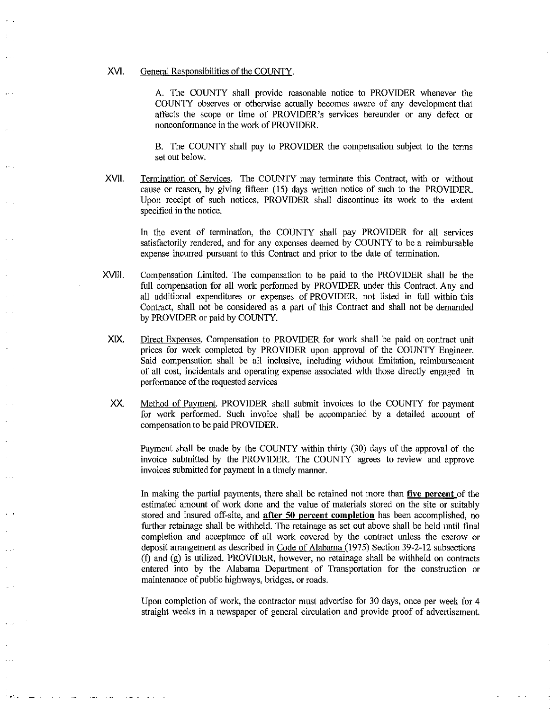### XVI. General Responsibilities of the COUNTY.

A. The COUNTY shall provide reasonable notice to PROVIDER whenever the COUNTY observes or otherwise actually becomes aware of any development that affects the scope or time of PROVIDER's services hereunder or any defect or nonconformance in the work of PROVIDER.

B. The COUNTY shall pay to PROVIDER the compensation subject to the terms set out below.

XVII. Termination of Services. The COUNTY may terminate this Contract, with or without cause or reason, by giving fifteen (15) days written notice of such to the PROVIDER. Upon receipt of such notices, PROVIDER shall discontinue its work to the extent specified in the notice.

In the event of termination, the COUNTY shall pay PROVIDER for all services satisfactorily rendered, and for any expenses deemed by COUNTY to be a reimbursable expense incurred pursuant to this Contract and prior to the date of termination.

- XVIII. Compensation Limited. The compensation to be paid to the PROVIDER shall be the full compensation for all work performed by PROVIDER under this Contract. Any and all additional expenditures or expenses of PROVIDER, not listed in full within this Contract, shall not be considered as a part of this Contract and shall not be demanded by PROVIDER or paid by COUNTY.
- XIX. Direct Expenses. Compensation to PROVIDER for work shall be paid on contract unit prices for work completed by PROVIDER upon approval of the COUNTY Engineer. Said compensation shall be all inclusive, including without limitation, reimbursement of all cost, incidentals and operating expense associated with those directly engaged in perfonnance of the requested services
- XX. Method of Payment. PROVIDER shall submit invoices to the COUNTY for payment for work performed. Such invoice shall be accompanied by a detailed account of compensation to be paid PROVIDER.

Payment shall be made by the COUNTY within thirty (30) days of the approval of the invoice submitted by the PROVIDER. The COUNTY agrees to review and approve invoices submitted for payment in a timely manner.

In making the partial payments, there shall be retained not more than **five percent** of the estimated amount of work done and the value of materials stored on the site or suitably stored and insured off-site, and **after 50 percent completion** has been accomplished, no further retainage shall be withheld. The retainage as set out above shall be held until final completion and acceptance of all work covered by the contract unless the escrow or deposit arrangement as described in Code of Alabama (1975) Section 39-2-12 subsections (f) and (g) is utilized. PROVIDER, however, no retainage shall be withheld on contracts entered into by the Alabama Department of Transportation for the construction or maintenance of public highways, bridges, or roads.

Upon completion of work, the contractor must advertise for 30 days, once per week for 4 straight weeks in a newspaper of general circulation and provide proof of advertisement.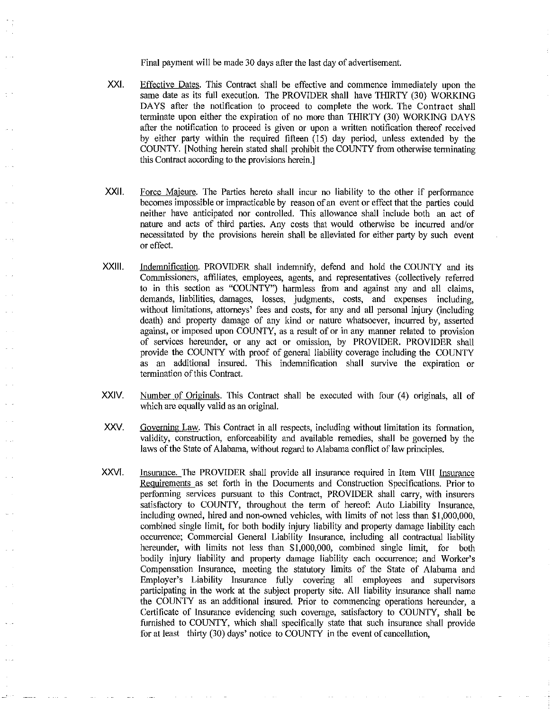Final payment will be made 30 days after the last day of advertisement.

- XXI. Effective Dates. This Contract shall be effective and commence immediately upon the same date as its full execution. The PROVIDER shall have THIRTY (30) WORKING DAYS after the notification to proceed to complete the work. The Contract shall terminate upon either the expiration of no more than THIRTY (30) WORKING DAYS after the notification to proceed is given or upon a written notification thereof received by either party within the required fifteen (15) day period, unless extended by the COUNTY. [Nothing herein stated shall prohibit the COUNTY from otherwise terminating this Contract according to the provisions herein.]
- XXll. Force Majeure. The Parties hereto shall incur no liability to the other if performance becomes impossible or impracticable by reason of an event or effect that the parties could neither have anticipated nor controlled. This allowance shall include both an act of nature and acts of third parties. Any costs that would otherwise be incurred and/or necessitated by the provisions herein shall be alleviated for either party by such event or effect.
- XXlll. Indemnification. PROVIDER shall indemnify, defend and hold the COUNTY and its Commissioners, affiliates, employees, agents, and representatives (collectively referred to in this section as "COUNTY") harmless from and against any and all claims, demands, liabilities, damages, losses, judgments, costs, and expenses including, without limitations, attorneys' fees and costs, for any and all personal injury (including death) and property damage of any kind or nature whatsoever, incurred by, asserted against, or imposed upon COUNTY, as a result of or in any manner related to provision of services hereunder, or any act or omission, by PROVIDER. PROVIDER shall provide the COUNTY with proof of general liability coverage including the COUNTY as an additional insured. This indemnification shall survive the expiration or termination of this Contract.
- XXIV. Number of Originals. This Contract shall be executed with four (4) originals, all of which are equally valid as an original.
- XXV. Governing Law. This Contract in all respects, including without limitation its formation, validity, construction, enforceability and available remedies, shall be governed by the laws of the State of Alabama, without regard to Alabama conflict of law principles.
- XXVI. Insurance. The PROVIDER shall provide all insurance required in Item Vlll Insurance Reguirements as set forth in the Documents and Construction Specifications. Prior to perfonning services pursuant to this Contract, PROVIDER shall carry, with insurers satisfactory to COUNTY, throughout the term of hereof: Auto Liability Insurance, including owned, hired and non-owned vehicles, with limits of not less than \$1,000,000, combined single limit, for both bodily injury liability and property damage liability each occurrence; Commercial General Liability Insurance, including all contractual liability hereunder, with limits not less than \$1,000,000, combined single limit, for both bodily injury liability and property damage liability each occurrence; and Worker's Compensation Insurance, meeting the statutory limits of the State of Alabama and Employer's Liability Insurance fully covering all employees and supervisors participating in the work at the subject property site. All liability insurance shall name the COUNTY as an additional insured. Prior to commencing operations hereunder, a Certificate of Insurance evidencing such coverage, satisfactory to COUNTY, shall be furnished to COUNTY, which shall specifically state that such insurance shall provide for at least thirty (30) days' notice to COUNTY in the event of cancellation,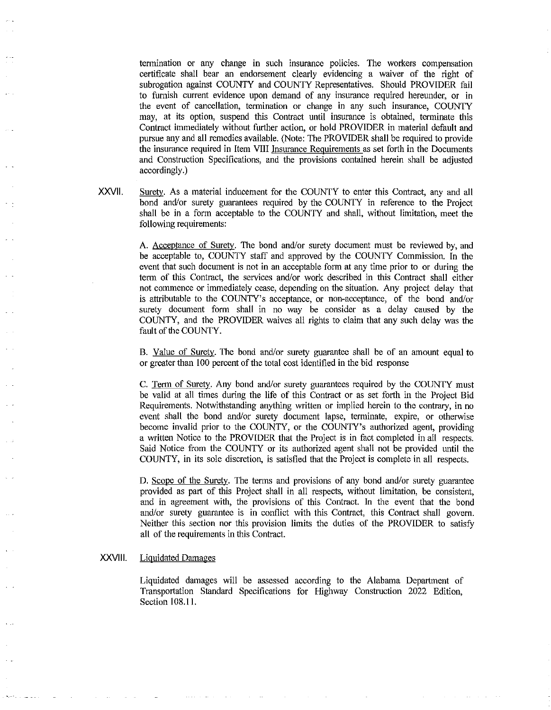termination or any change in such insurance policies. The workers compensation certificate shall bear an endorsement clearly evidencing a waiver of the right of subrogation against COUNTY and COUNTY Representatives. Should PROVIDER fail to furnish current evidence upon demand of any insurance required hereunder, or in the event of cancellation, termination or change in any such insurance, COUNTY may, at its option, suspend this Contract until insurance is obtained, terminate this Contract immediately without further action, or hold PROVIDER in material default and pursue any and all remedies available. (Note: The PROVIDER shall be required to provide the insurance required in Item VIII Insurance Requirements as set forth in the Documents and Construction Specifications, and the provisions contained herein shall be adjusted accordingly.)

XXVll. Surety. As a material inducement for the COUNTY to enter this Contract, any and all bond and/or surety guarantees required by the COUNTY in reference to the Project shall be in a form acceptable to the COUNTY and shall, without limitation, meet the following requirements:

> A. Acceptance of Surety. The bond and/or surety document must be reviewed by, and be acceptable to, COUNTY staff and approved by the COUNTY Commission. In the event that such document is not in an acceptable form at any time prior to or during the term of this Contract, the services and/or work described in this Contract shall either not commence or immediately cease, depending on the situation. Any project delay that is attributable to the COUNTY's acceptance, or non-acceptance, of the bond and/or surety document form shall in no way be consider as a delay caused by the COUNTY, and the PROVIDER waives all rights to claim that any such delay was the fault of the COUNTY.

> B. Value of Surety. The bond and/or surety guarantee shall be of an amount equal to or greater than I 00 percent of the total cost identified in the bid response

> C. Term of Surety. Any bond and/or surety guarantees required by the COUNTY must be valid at all times during the life of this Contract or as set forth in the Project Bid Requirements. Notwithstanding anything written or implied herein to the contrary, in no event shall the bond and/or surety document lapse, terminate, expire, or otherwise become invalid prior to the COUNTY, or the COUNTY's authorized agent, providing a written Notice to the PROVIDER that the Project is in fact completed in all respects. Said Notice from the COUNTY or its authorized agent shall not be provided until the COUNTY, in its sole discretion, is satisfied that the Project is complete in all respects.

> D. Scope of the Surety. The terms and provisions of any bond and/or surety guarantee provided as part of this Project shall in all respects, without limitation, be consistent, and in agreement with, the provisions of this Contract. In the event that the bond and/or surety guarantee is in conflict with this Contract, this Contract shall govern. Neither this section nor this provision limits the duties of the PROVIDER to satisfy all of the requirements in this Contract.

# XXVIII. Liquidated Damages

Liquidated damages will be assessed according to the Alabama Department of Transportation Standard Specifications for Highway Construction 2022 Edition, Section 108.11.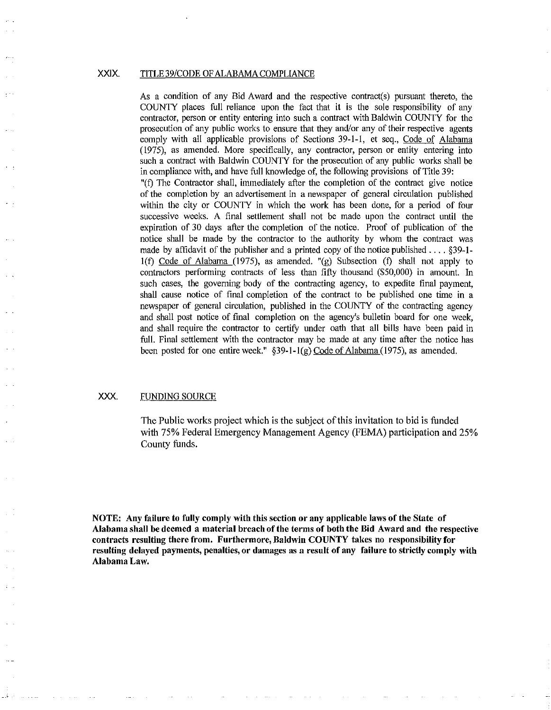### XXIX. TITLE 39/CODE OF ALABAMA COMPLIANCE

As a condition of any Bid Award and the respective contract(s) pursuant thereto, the COUNTY places full reliance upon the fact that it is the sole responsibility of any contractor, person or entity entering into such a contract with Baldwin COUNTY for the prosecution of any public works to ensure that they and/or any of their respective agents comply with all applicable provisions of Sections 39-1-1, et seq., Code of Alabama (1975), as amended. More specifically, any contractor, person or entity entering into such a contract with Baldwin COUNTY for the prosecution of any public works shall be in compliance with, and have full knowledge of, the following provisions of Title 39:

"(f) The Contractor shall, immediately after the completion of the contract give notice of the completion by an advertisement in a newspaper of general circulation published within the city or COUNTY in which the work has been done, for a period of four successive weeks. A final settlement shall not be made upon the contract until the expiration of 30 days after the completion of the notice. Proof of publication of the notice shall be made by the contractor to the authority by whom the contract was made by affidavit of the publisher and a printed copy of the notice published .... §39-1 l(f) Code of Alabama (1975), as amended. "(g) Subsection (f) shall not apply to contractors performing contracts of less than fifty thousand (\$50,000) in amount. In such cases, the governing body of the contracting agency, to expedite final payment, shall cause notice of final completion of the contract to be published one time in a newspaper of general circulation, published in the COUNTY of the contracting agency and shall post notice of final completion on the agency's bulletin board for one week, and shall require the contractor to certify under oath that all bills have been paid in full. Final settlement with the contractor may be made at any time after the notice has been posted for one entire week." §39-1-1(g) Code of Alabama (1975), as amended.

# XXX. FUNDING SOURCE

The Public works project which is the subject of this invitation to bid is funded with 75% Federal Emergency Management Agency (FEMA) participation and 25% County funds.

NOTE: Any failure to fully comply with this section or any applicable laws of the State of Alabama shall be deemed a material breach of the terms of both the Bid Award and the respective contracts resulting there from. Furthermore, Baldwin COUNTY takes no responsibility for resulting delayed payments, penalties, or damages as a result of any failure to strictly comply with Alabama Law.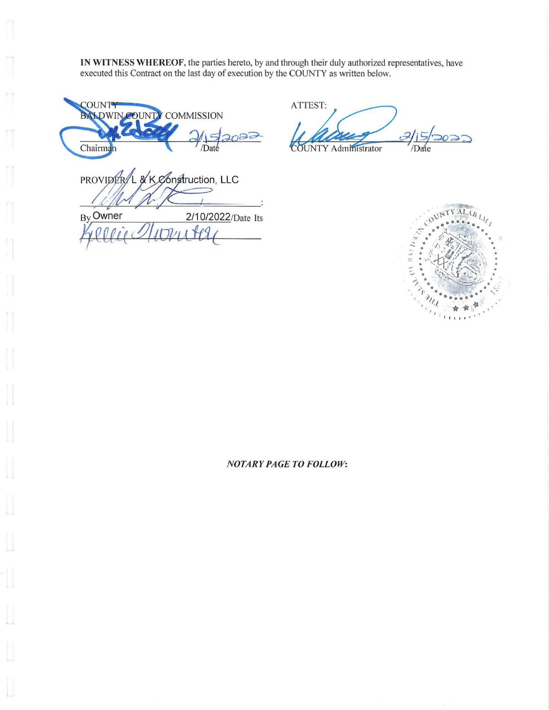IN WITNESS WHEREOF, the parties hereto, by and through their duly authorized representatives, have executed this Contract on the last day of execution by the COUNTY as written below.

**COUNTY** BALDWIN COUNTY COMMISSION  $\frac{1}{\text{Chairman}}$   $\frac{1}{\text{Data}}$ /Date

PROVIDER/L & K Construction, LLC By Owner 2/10/2022/Date Its *)j,eet,l(* Z!UIJ/llda{

ATTEST: **COUNTY Administrator** /Date  $2022$ 



# *NOTARY PAGE TO FOLLOW:*